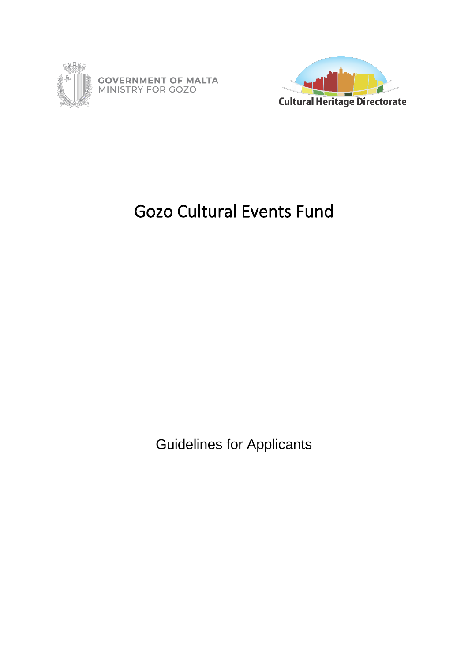



# Gozo Cultural Events Fund

Guidelines for Applicants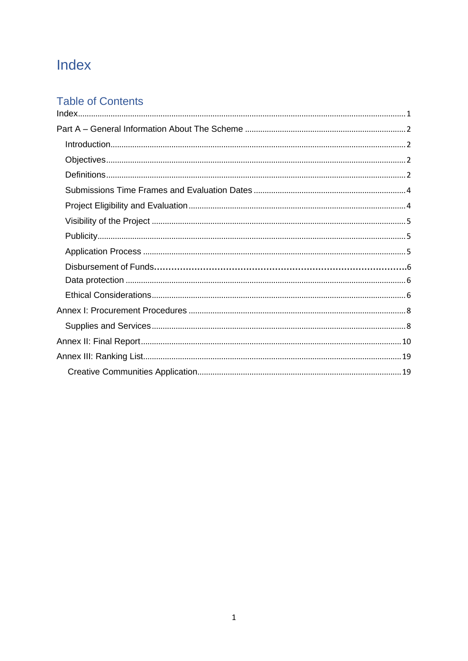## <span id="page-1-0"></span>Index

## **Table of Contents**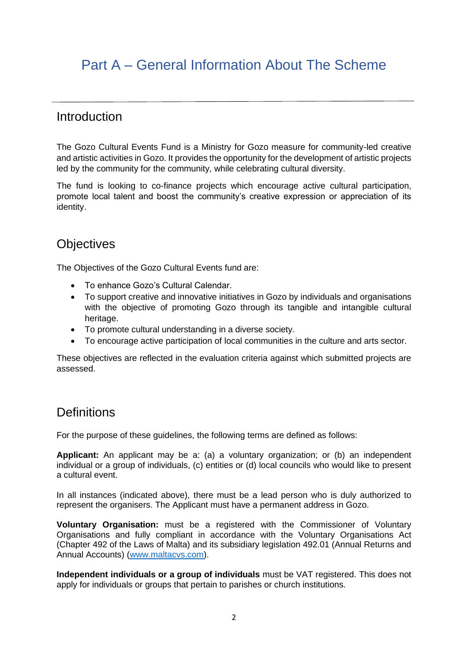## <span id="page-2-0"></span>Part A – General Information About The Scheme

## <span id="page-2-1"></span>Introduction

The Gozo Cultural Events Fund is a Ministry for Gozo measure for community-led creative and artistic activities in Gozo. It provides the opportunity for the development of artistic projects led by the community for the community, while celebrating cultural diversity.

The fund is looking to co-finance projects which encourage active cultural participation, promote local talent and boost the community's creative expression or appreciation of its identity.

## <span id="page-2-2"></span>**Objectives**

The Objectives of the Gozo Cultural Events fund are:

- To enhance Gozo's Cultural Calendar.
- To support creative and innovative initiatives in Gozo by individuals and organisations with the objective of promoting Gozo through its tangible and intangible cultural heritage.
- To promote cultural understanding in a diverse society.
- To encourage active participation of local communities in the culture and arts sector.

These objectives are reflected in the evaluation criteria against which submitted projects are assessed.

## <span id="page-2-3"></span>**Definitions**

For the purpose of these guidelines, the following terms are defined as follows:

**Applicant:** An applicant may be a: (a) a voluntary organization; or (b) an independent individual or a group of individuals, (c) entities or (d) local councils who would like to present a cultural event.

In all instances (indicated above), there must be a lead person who is duly authorized to represent the organisers. The Applicant must have a permanent address in Gozo.

**Voluntary Organisation:** must be a registered with the Commissioner of Voluntary Organisations and fully compliant in accordance with the Voluntary Organisations Act (Chapter 492 of the Laws of Malta) and its subsidiary legislation 492.01 (Annual Returns and Annual Accounts) [\(www.maltacvs.com\)](http://www.maltacvs.com/).

**Independent individuals or a group of individuals** must be VAT registered. This does not apply for individuals or groups that pertain to parishes or church institutions.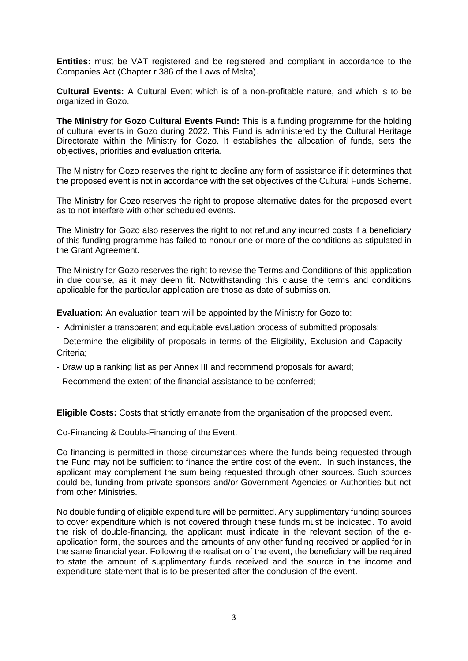**Entities:** must be VAT registered and be registered and compliant in accordance to the Companies Act (Chapter r 386 of the Laws of Malta).

**Cultural Events:** A Cultural Event which is of a non-profitable nature, and which is to be organized in Gozo.

**The Ministry for Gozo Cultural Events Fund:** This is a funding programme for the holding of cultural events in Gozo during 2022. This Fund is administered by the Cultural Heritage Directorate within the Ministry for Gozo. It establishes the allocation of funds, sets the objectives, priorities and evaluation criteria.

The Ministry for Gozo reserves the right to decline any form of assistance if it determines that the proposed event is not in accordance with the set objectives of the Cultural Funds Scheme.

The Ministry for Gozo reserves the right to propose alternative dates for the proposed event as to not interfere with other scheduled events.

The Ministry for Gozo also reserves the right to not refund any incurred costs if a beneficiary of this funding programme has failed to honour one or more of the conditions as stipulated in the Grant Agreement.

The Ministry for Gozo reserves the right to revise the Terms and Conditions of this application in due course, as it may deem fit. Notwithstanding this clause the terms and conditions applicable for the particular application are those as date of submission.

**Evaluation:** An evaluation team will be appointed by the Ministry for Gozo to:

- Administer a transparent and equitable evaluation process of submitted proposals;
- Determine the eligibility of proposals in terms of the Eligibility, Exclusion and Capacity Criteria;
- Draw up a ranking list as per Annex III and recommend proposals for award;
- Recommend the extent of the financial assistance to be conferred;

**Eligible Costs:** Costs that strictly emanate from the organisation of the proposed event.

Co-Financing & Double-Financing of the Event.

Co-financing is permitted in those circumstances where the funds being requested through the Fund may not be sufficient to finance the entire cost of the event. In such instances, the applicant may complement the sum being requested through other sources. Such sources could be, funding from private sponsors and/or Government Agencies or Authorities but not from other Ministries.

No double funding of eligible expenditure will be permitted. Any supplimentary funding sources to cover expenditure which is not covered through these funds must be indicated. To avoid the risk of double-financing, the applicant must indicate in the relevant section of the eapplication form, the sources and the amounts of any other funding received or applied for in the same financial year. Following the realisation of the event, the beneficiary will be required to state the amount of supplimentary funds received and the source in the income and expenditure statement that is to be presented after the conclusion of the event.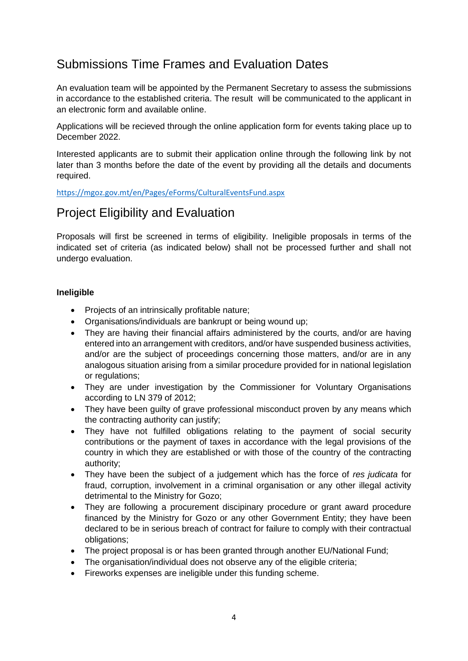## <span id="page-4-0"></span>Submissions Time Frames and Evaluation Dates

An evaluation team will be appointed by the Permanent Secretary to assess the submissions in accordance to the established criteria. The result will be communicated to the applicant in an electronic form and available online.

Applications will be recieved through the online application form for events taking place up to December 2022.

Interested applicants are to submit their application online through the following link by not later than 3 months before the date of the event by providing all the details and documents required.

[https://mgoz.gov.mt/en/Pages/eForms/CulturalEventsFund.aspx](https://mgoz.gov.mt/en/Pages/eForms/OldCulturalEventsFund.aspx)

## <span id="page-4-1"></span>Project Eligibility and Evaluation

Proposals will first be screened in terms of eligibility. Ineligible proposals in terms of the indicated set of criteria (as indicated below) shall not be processed further and shall not undergo evaluation.

### **Ineligible**

- Projects of an intrinsically profitable nature;
- Organisations/individuals are bankrupt or being wound up;
- They are having their financial affairs administered by the courts, and/or are having entered into an arrangement with creditors, and/or have suspended business activities, and/or are the subject of proceedings concerning those matters, and/or are in any analogous situation arising from a similar procedure provided for in national legislation or regulations;
- They are under investigation by the Commissioner for Voluntary Organisations according to LN 379 of 2012;
- They have been guilty of grave professional misconduct proven by any means which the contracting authority can justify;
- They have not fulfilled obligations relating to the payment of social security contributions or the payment of taxes in accordance with the legal provisions of the country in which they are established or with those of the country of the contracting authority;
- They have been the subject of a judgement which has the force of *res judicata* for fraud, corruption, involvement in a criminal organisation or any other illegal activity detrimental to the Ministry for Gozo;
- They are following a procurement discipinary procedure or grant award procedure financed by the Ministry for Gozo or any other Government Entity; they have been declared to be in serious breach of contract for failure to comply with their contractual obligations;
- The project proposal is or has been granted through another EU/National Fund;
- The organisation/individual does not observe any of the eligible criteria;
- Fireworks expenses are ineligible under this funding scheme.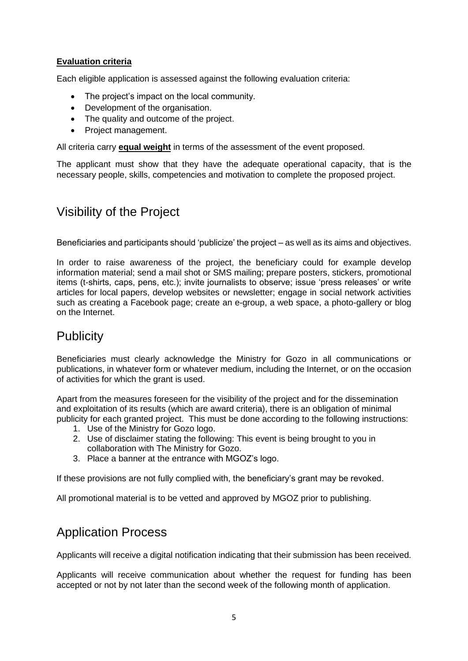### **Evaluation criteria**

Each eligible application is assessed against the following evaluation criteria:

- The project's impact on the local community.
- Development of the organisation.
- The quality and outcome of the project.
- Project management.

All criteria carry **equal weight** in terms of the assessment of the event proposed.

The applicant must show that they have the adequate operational capacity, that is the necessary people, skills, competencies and motivation to complete the proposed project.

## <span id="page-5-0"></span>Visibility of the Project

Beneficiaries and participants should 'publicize' the project – as well as its aims and objectives.

In order to raise awareness of the project, the beneficiary could for example develop information material; send a mail shot or SMS mailing; prepare posters, stickers, promotional items (t-shirts, caps, pens, etc.); invite journalists to observe; issue 'press releases' or write articles for local papers, develop websites or newsletter; engage in social network activities such as creating a Facebook page; create an e-group, a web space, a photo-gallery or blog on the Internet.

## <span id="page-5-1"></span>**Publicity**

Beneficiaries must clearly acknowledge the Ministry for Gozo in all communications or publications, in whatever form or whatever medium, including the Internet, or on the occasion of activities for which the grant is used.

Apart from the measures foreseen for the visibility of the project and for the dissemination and exploitation of its results (which are award criteria), there is an obligation of minimal publicity for each granted project. This must be done according to the following instructions:

- 1. Use of the Ministry for Gozo logo.
- 2. Use of disclaimer stating the following: This event is being brought to you in collaboration with The Ministry for Gozo.
- 3. Place a banner at the entrance with MGOZ's logo.

If these provisions are not fully complied with, the beneficiary's grant may be revoked.

All promotional material is to be vetted and approved by MGOZ prior to publishing.

## <span id="page-5-2"></span>Application Process

Applicants will receive a digital notification indicating that their submission has been received.

Applicants will receive communication about whether the request for funding has been accepted or not by not later than the second week of the following month of application.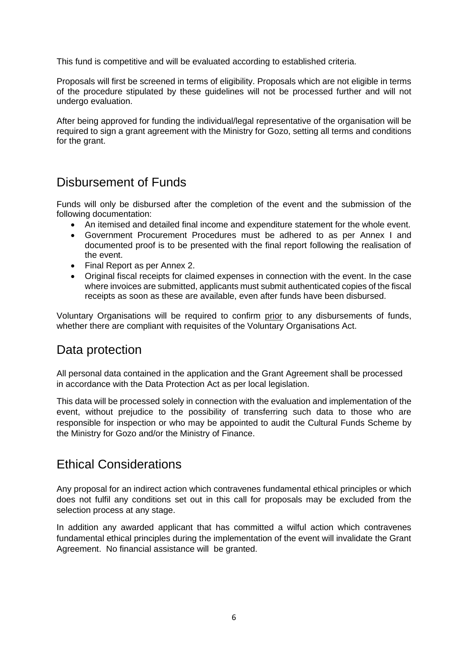This fund is competitive and will be evaluated according to established criteria.

Proposals will first be screened in terms of eligibility. Proposals which are not eligible in terms of the procedure stipulated by these guidelines will not be processed further and will not undergo evaluation.

After being approved for funding the individual/legal representative of the organisation will be required to sign a grant agreement with the Ministry for Gozo, setting all terms and conditions for the grant.

## Disbursement of Funds

Funds will only be disbursed after the completion of the event and the submission of the following documentation:

- An itemised and detailed final income and expenditure statement for the whole event.
- Government Procurement Procedures must be adhered to as per Annex I and documented proof is to be presented with the final report following the realisation of the event.
- Final Report as per Annex 2.
- Original fiscal receipts for claimed expenses in connection with the event. In the case where invoices are submitted, applicants must submit authenticated copies of the fiscal receipts as soon as these are available, even after funds have been disbursed.

Voluntary Organisations will be required to confirm prior to any disbursements of funds, whether there are compliant with requisites of the Voluntary Organisations Act.

## <span id="page-6-0"></span>Data protection

All personal data contained in the application and the Grant Agreement shall be processed in accordance with the Data Protection Act as per local legislation.

This data will be processed solely in connection with the evaluation and implementation of the event, without prejudice to the possibility of transferring such data to those who are responsible for inspection or who may be appointed to audit the Cultural Funds Scheme by the Ministry for Gozo and/or the Ministry of Finance.

## <span id="page-6-1"></span>Ethical Considerations

Any proposal for an indirect action which contravenes fundamental ethical principles or which does not fulfil any conditions set out in this call for proposals may be excluded from the selection process at any stage.

In addition any awarded applicant that has committed a wilful action which contravenes fundamental ethical principles during the implementation of the event will invalidate the Grant Agreement. No financial assistance will be granted.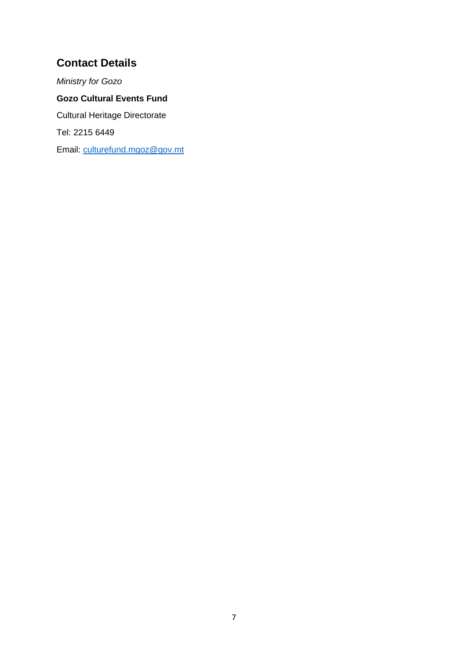## **Contact Details**

*Ministry for Gozo* **Gozo Cultural Events Fund** Cultural Heritage Directorate Tel: 2215 6449 Email: [culturefund.mgoz@gov.mt](mailto:culturefund.mgoz@gov.mt)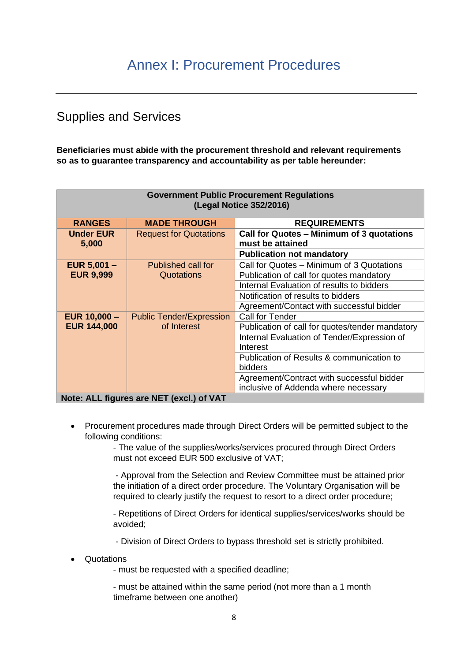## <span id="page-8-1"></span><span id="page-8-0"></span>Supplies and Services

**Beneficiaries must abide with the procurement threshold and relevant requirements so as to guarantee transparency and accountability as per table hereunder:**

| <b>Government Public Procurement Regulations</b><br>(Legal Notice 352/2016) |                                 |                                                               |
|-----------------------------------------------------------------------------|---------------------------------|---------------------------------------------------------------|
| <b>RANGES</b>                                                               | <b>MADE THROUGH</b>             | <b>REQUIREMENTS</b>                                           |
| <b>Under EUR</b><br>5,000                                                   | <b>Request for Quotations</b>   | Call for Quotes - Minimum of 3 quotations<br>must be attained |
|                                                                             |                                 | <b>Publication not mandatory</b>                              |
| EUR $5,001 -$                                                               | Published call for              | Call for Quotes - Minimum of 3 Quotations                     |
| <b>EUR 9,999</b>                                                            | Quotations                      | Publication of call for quotes mandatory                      |
|                                                                             |                                 | Internal Evaluation of results to bidders                     |
|                                                                             |                                 | Notification of results to bidders                            |
|                                                                             |                                 | Agreement/Contact with successful bidder                      |
| EUR $10,000 -$                                                              | <b>Public Tender/Expression</b> | Call for Tender                                               |
| <b>EUR 144,000</b>                                                          | of Interest                     | Publication of call for quotes/tender mandatory               |
|                                                                             |                                 | Internal Evaluation of Tender/Expression of                   |
|                                                                             |                                 | Interest                                                      |
|                                                                             |                                 | Publication of Results & communication to                     |
|                                                                             |                                 | bidders                                                       |
|                                                                             |                                 | Agreement/Contract with successful bidder                     |
|                                                                             |                                 | inclusive of Addenda where necessary                          |
| Note: ALL figures are NET (excl.) of VAT                                    |                                 |                                                               |

• Procurement procedures made through Direct Orders will be permitted subject to the following conditions:

> - The value of the supplies/works/services procured through Direct Orders must not exceed EUR 500 exclusive of VAT;

- Approval from the Selection and Review Committee must be attained prior the initiation of a direct order procedure. The Voluntary Organisation will be required to clearly justify the request to resort to a direct order procedure;

- Repetitions of Direct Orders for identical supplies/services/works should be avoided;

- Division of Direct Orders to bypass threshold set is strictly prohibited.

• Quotations

- must be requested with a specified deadline;

- must be attained within the same period (not more than a 1 month timeframe between one another)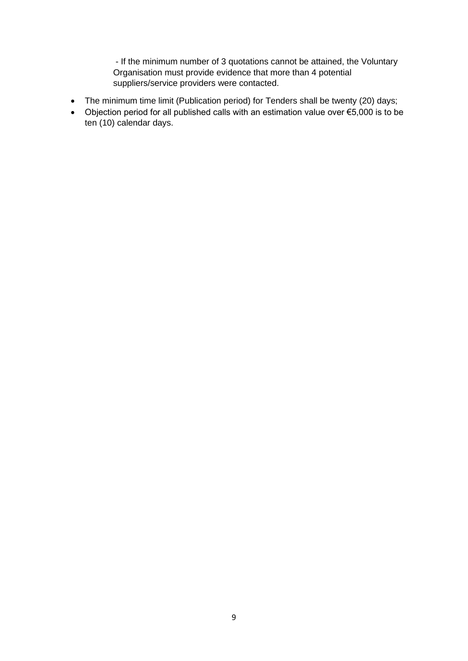- If the minimum number of 3 quotations cannot be attained, the Voluntary Organisation must provide evidence that more than 4 potential suppliers/service providers were contacted.

- The minimum time limit (Publication period) for Tenders shall be twenty (20) days;
- <span id="page-9-0"></span>• Objection period for all published calls with an estimation value over €5,000 is to be ten (10) calendar days.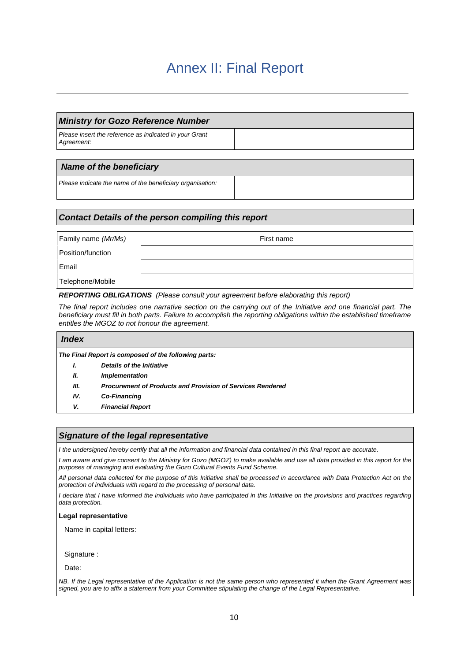## Annex II: Final Report

### *Ministry for Gozo Reference Number*

*Please insert the reference as indicated in your Grant Agreement:*

### *Name of the beneficiary*

*Please indicate the name of the beneficiary organisation:*

### *Contact Details of the person compiling this report*

| Family name (Mr/Ms) | First name |
|---------------------|------------|
| Position/function   |            |
| Email               |            |
| Telephone/Mobile    |            |

*REPORTING OBLIGATIONS (Please consult your agreement before elaborating this report)*

*The final report includes one narrative section on the carrying out of the Initiative and one financial part. The*  beneficiary must fill in both parts. Failure to accomplish the reporting obligations within the established timeframe *entitles the MGOZ to not honour the agreement.*

| <i><b>Index</b></i> |                                                                   |
|---------------------|-------------------------------------------------------------------|
|                     | The Final Report is composed of the following parts:              |
| I.                  | Details of the Initiative                                         |
| Ш.                  | <b>Implementation</b>                                             |
| Ш.                  | <b>Procurement of Products and Provision of Services Rendered</b> |
| IV.                 | Co-Financing                                                      |
| v.                  | <b>Financial Report</b>                                           |

### *Signature of the legal representative*

*I the undersigned hereby certify that all the information and financial data contained in this final report are accurate.*

*I am aware and give consent to the Ministry for Gozo (MGOZ) to make available and use all data provided in this report for the purposes of managing and evaluating the Gozo Cultural Events Fund Scheme.* 

*All personal data collected for the purpose of this Initiative shall be processed in accordance with Data Protection Act on the protection of individuals with regard to the processing of personal data.*

*I declare that I have informed the individuals who have participated in this Initiative on the provisions and practices regarding data protection.*

#### **Legal representative**

Name in capital letters:

Signature :

Date:

*NB. If the Legal representative of the Application is not the same person who represented it when the Grant Agreement was signed, you are to affix a statement from your Committee stipulating the change of the Legal Representative.*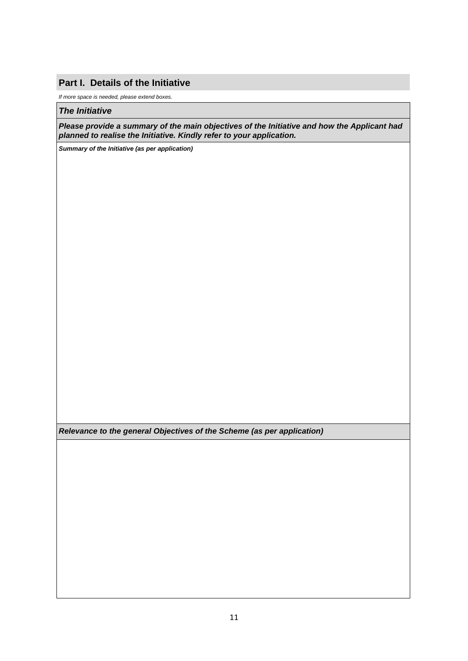### **Part I. Details of the Initiative**

*If more space is needed, please extend boxes.*

#### *The Initiative*

*Please provide a summary of the main objectives of the Initiative and how the Applicant had planned to realise the Initiative. Kindly refer to your application.*

*Summary of the Initiative (as per application)*

*Relevance to the general Objectives of the Scheme (as per application)*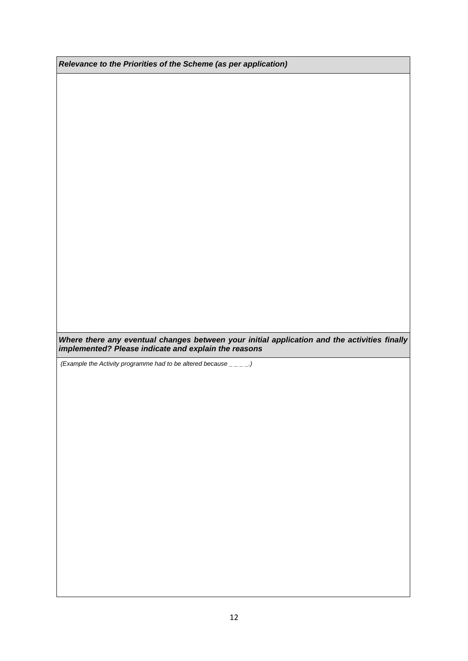*Relevance to the Priorities of the Scheme (as per application)*

*Where there any eventual changes between your initial application and the activities finally implemented? Please indicate and explain the reasons*

*(Example the Activity programme had to be altered because \_ \_ \_ \_.)*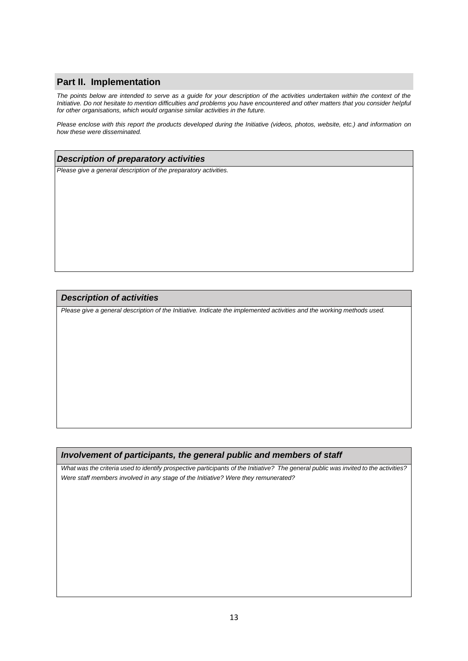### **Part II. Implementation**

*The points below are intended to serve as a guide for your description of the activities undertaken within the context of the Initiative. Do not hesitate to mention difficulties and problems you have encountered and other matters that you consider helpful for other organisations, which would organise similar activities in the future.* 

*Please enclose with this report the products developed during the Initiative (videos, photos, website, etc.) and information on how these were disseminated.*

#### *Description of preparatory activities*

*Please give a general description of the preparatory activities.* 

### *Description of activities*

*Please give a general description of the Initiative. Indicate the implemented activities and the working methods used.*

### *Involvement of participants, the general public and members of staff*

*What was the criteria used to identify prospective participants of the Initiative? The general public was invited to the activities? Were staff members involved in any stage of the Initiative? Were they remunerated?*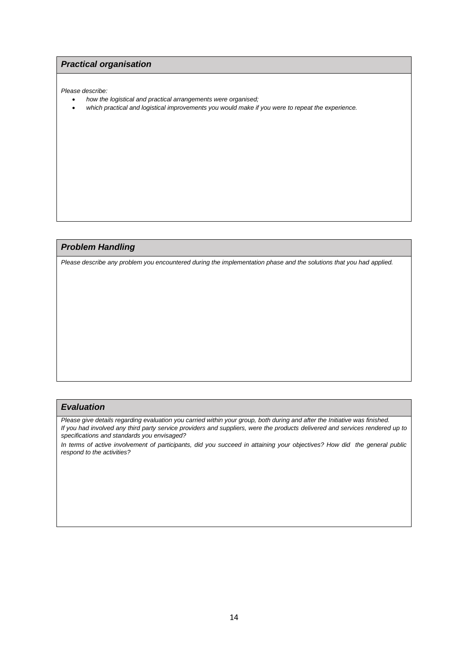### *Practical organisation*

*Please describe:*

- *how the logistical and practical arrangements were organised;*
- *which practical and logistical improvements you would make if you were to repeat the experience.*

### *Problem Handling*

*Please describe any problem you encountered during the implementation phase and the solutions that you had applied.*

#### *Evaluation*

Please give details regarding evaluation you carried within your group, both during and after the Initiative was finished. *If you had involved any third party service providers and suppliers, were the products delivered and services rendered up to specifications and standards you envisaged?*

*In terms of active involvement of participants, did you succeed in attaining your objectives? How did the general public respond to the activities?*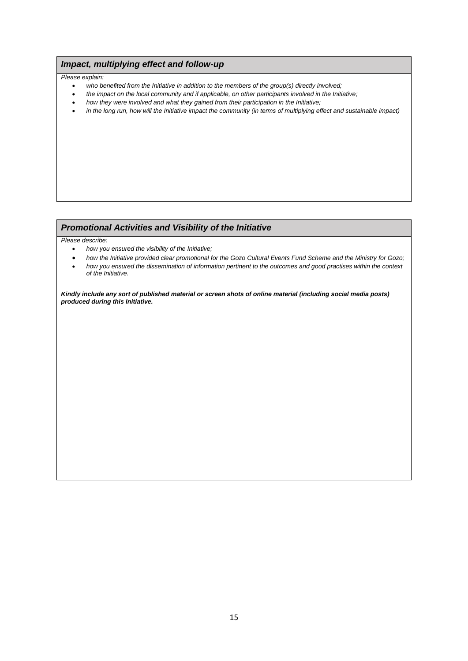### *Impact, multiplying effect and follow-up*

#### *Please explain:*

- *who benefited from the Initiative in addition to the members of the group(s) directly involved;*
- *the impact on the local community and if applicable, on other participants involved in the Initiative;*
- *how they were involved and what they gained from their participation in the Initiative;*
- *in the long run, how will the Initiative impact the community (in terms of multiplying effect and sustainable impact)*

#### *Promotional Activities and Visibility of the Initiative*

*Please describe:*

- *how you ensured the visibility of the Initiative;*
- *how the Initiative provided clear promotional for the Gozo Cultural Events Fund Scheme and the Ministry for Gozo;* • *how you ensured the dissemination of information pertinent to the outcomes and good practises within the context of the Initiative.*

*Kindly include any sort of published material or screen shots of online material (including social media posts) produced during this Initiative.*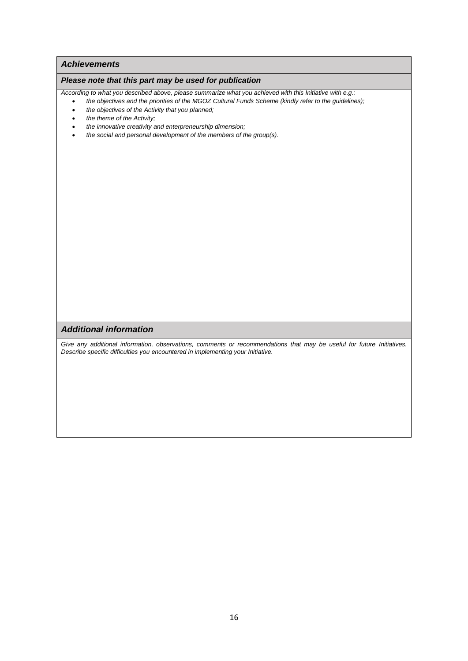#### *Achievements*

#### *Please note that this part may be used for publication*

*According to what you described above, please summarize what you achieved with this Initiative with e.g.:*

- *the objectives and the priorities of the MGOZ Cultural Funds Scheme (kindly refer to the guidelines);*
- *the objectives of the Activity that you planned;*
- *the theme of the Activity;*
- *the innovative creativity and enterpreneurship dimension;*
- *the social and personal development of the members of the group(s).*

### *Additional information*

*Give any additional information, observations, comments or recommendations that may be useful for future Initiatives. Describe specific difficulties you encountered in implementing your Initiative.*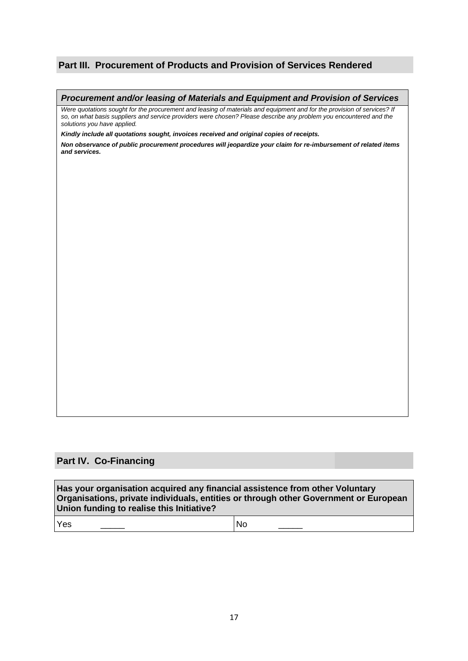### **Part III. Procurement of Products and Provision of Services Rendered**

#### *Procurement and/or leasing of Materials and Equipment and Provision of Services*

*Were quotations sought for the procurement and leasing of materials and equipment and for the provision of services? If so, on what basis suppliers and service providers were chosen? Please describe any problem you encountered and the solutions you have applied.* 

*Kindly include all quotations sought, invoices received and original copies of receipts.*

*Non observance of public procurement procedures will jeopardize your claim for re-imbursement of related items and services.*

### **Part IV. Co-Financing**

**Has your organisation acquired any financial assistence from other Voluntary Organisations, private individuals, entities or through other Government or European Union funding to realise this Initiative?**

Yes \_\_\_\_\_ No \_\_\_\_\_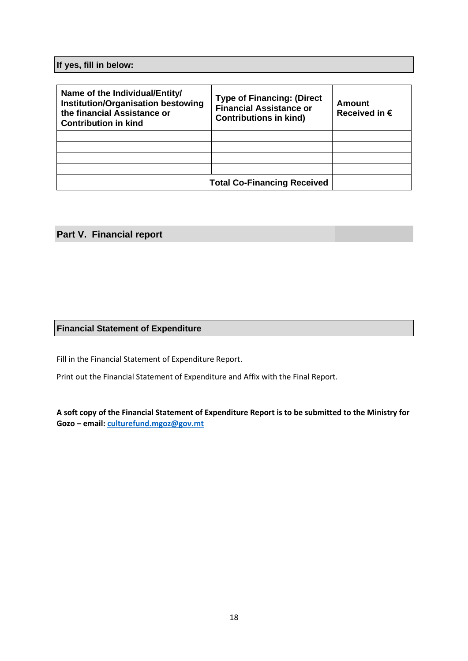**If yes, fill in below:**

| Name of the Individual/Entity/<br><b>Institution/Organisation bestowing</b><br>the financial Assistance or<br><b>Contribution in kind</b> | <b>Type of Financing: (Direct</b><br><b>Financial Assistance or</b><br><b>Contributions in kind)</b> | Amount<br>Received in $\epsilon$ |
|-------------------------------------------------------------------------------------------------------------------------------------------|------------------------------------------------------------------------------------------------------|----------------------------------|
|                                                                                                                                           |                                                                                                      |                                  |
|                                                                                                                                           |                                                                                                      |                                  |
|                                                                                                                                           |                                                                                                      |                                  |
|                                                                                                                                           |                                                                                                      |                                  |
|                                                                                                                                           | <b>Total Co-Financing Received</b>                                                                   |                                  |

## **Part V. Financial report**

### **Financial Statement of Expenditure**

Fill in the Financial Statement of Expenditure Report.

Print out the Financial Statement of Expenditure and Affix with the Final Report.

**A soft copy of the Financial Statement of Expenditure Report is to be submitted to the Ministry for Gozo – email[: culturefund.mgoz@gov.mt](mailto:culturefund.mgoz@gov.mt)**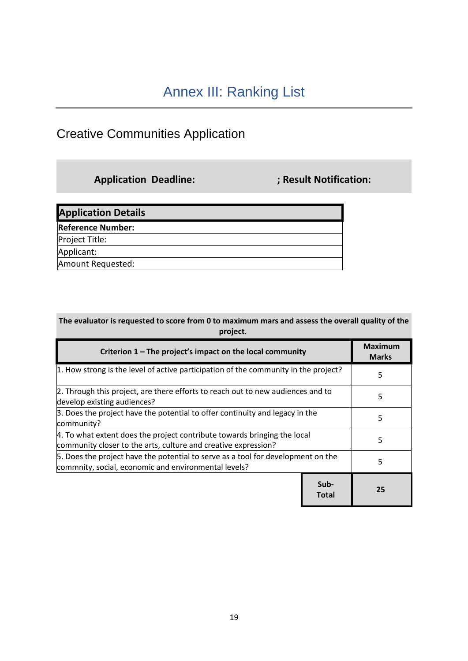## <span id="page-19-1"></span><span id="page-19-0"></span>Creative Communities Application

**Application Deadline: ; Result Notification:**

| <b>Application Details</b> |  |
|----------------------------|--|
| <b>Reference Number:</b>   |  |
| Project Title:             |  |
| Applicant:                 |  |
| Amount Requested:          |  |

| The evaluator is requested to score from 0 to maximum mars and assess the overall quality of the |
|--------------------------------------------------------------------------------------------------|
| project.                                                                                         |

| Criterion 1 – The project's impact on the local community                                                                                  |               | <b>Maximum</b><br><b>Marks</b> |
|--------------------------------------------------------------------------------------------------------------------------------------------|---------------|--------------------------------|
| 1. How strong is the level of active participation of the community in the project?                                                        |               | 5                              |
| 2. Through this project, are there efforts to reach out to new audiences and to<br>develop existing audiences?                             |               | 5                              |
| 3. Does the project have the potential to offer continuity and legacy in the<br>community?                                                 |               | 5                              |
| 4. To what extent does the project contribute towards bringing the local<br>community closer to the arts, culture and creative expression? |               | 5                              |
| 5. Does the project have the potential to serve as a tool for development on the<br>commnity, social, economic and environmental levels?   |               | 5                              |
|                                                                                                                                            | Sub-<br>Total | 25                             |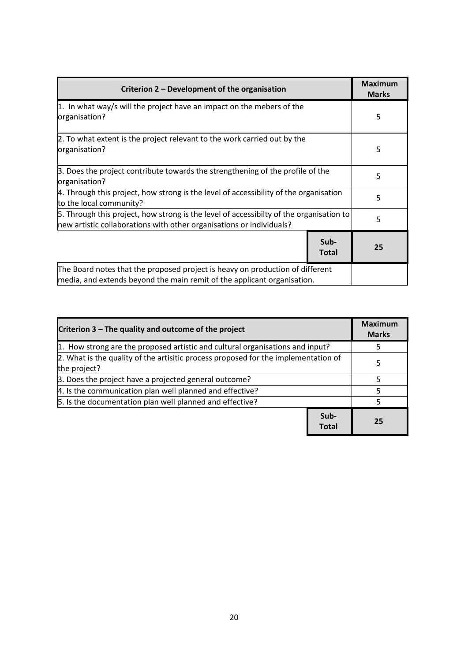| Criterion 2 – Development of the organisation                                                                                                                   |                      | <b>Maximum</b><br><b>Marks</b> |
|-----------------------------------------------------------------------------------------------------------------------------------------------------------------|----------------------|--------------------------------|
| $\vert$ 1. In what way/s will the project have an impact on the mebers of the<br>organisation?                                                                  |                      | 5                              |
| 2. To what extent is the project relevant to the work carried out by the<br>organisation?                                                                       |                      | 5                              |
| 3. Does the project contribute towards the strengthening of the profile of the<br>organisation?                                                                 |                      | 5                              |
| 4. Through this project, how strong is the level of accessibility of the organisation<br>to the local community?                                                |                      | 5                              |
| 5. Through this project, how strong is the level of accessibilty of the organisation to<br>new artistic collaborations with other organisations or individuals? |                      | 5                              |
|                                                                                                                                                                 | Sub-<br><b>Total</b> | 25                             |
| The Board notes that the proposed project is heavy on production of different<br>media, and extends beyond the main remit of the applicant organisation.        |                      |                                |

| Criterion 3 – The quality and outcome of the project                                               |               | <b>Maximum</b><br><b>Marks</b> |
|----------------------------------------------------------------------------------------------------|---------------|--------------------------------|
| 1. How strong are the proposed artistic and cultural organisations and input?                      |               |                                |
| 2. What is the quality of the artisitic process proposed for the implementation of<br>the project? |               | 5                              |
| 3. Does the project have a projected general outcome?                                              |               |                                |
| 4. Is the communication plan well planned and effective?                                           |               |                                |
| 5. Is the documentation plan well planned and effective?                                           |               |                                |
|                                                                                                    | Sub-<br>Total | 25                             |